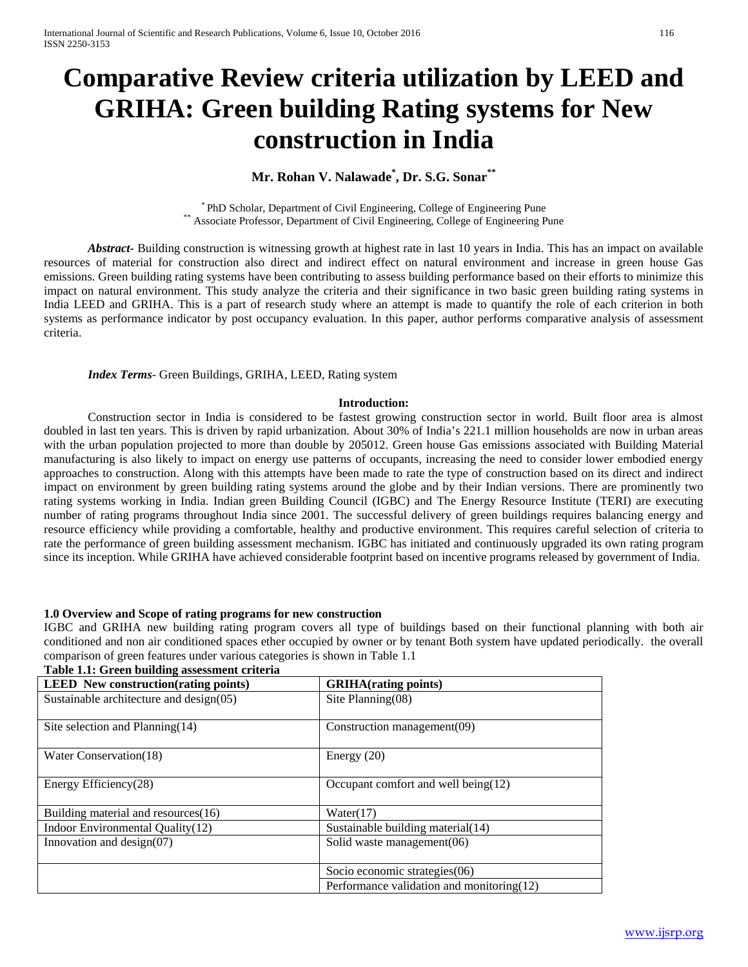# **Comparative Review criteria utilization by LEED and GRIHA: Green building Rating systems for New construction in India**

## **Mr. Rohan V. Nalawade\* , Dr. S.G. Sonar\*\***

\* PhD Scholar, Department of Civil Engineering, College of Engineering Pune \*\* Associate Professor, Department of Civil Engineering, College of Engineering Pune

*Abstract***-** Building construction is witnessing growth at highest rate in last 10 years in India. This has an impact on available resources of material for construction also direct and indirect effect on natural environment and increase in green house Gas emissions. Green building rating systems have been contributing to assess building performance based on their efforts to minimize this impact on natural environment. This study analyze the criteria and their significance in two basic green building rating systems in India LEED and GRIHA. This is a part of research study where an attempt is made to quantify the role of each criterion in both systems as performance indicator by post occupancy evaluation. In this paper, author performs comparative analysis of assessment criteria.

*Index Terms*- Green Buildings, GRIHA, LEED, Rating system

#### **Introduction:**

Construction sector in India is considered to be fastest growing construction sector in world. Built floor area is almost doubled in last ten years. This is driven by rapid urbanization. About 30% of India's 221.1 million households are now in urban areas with the urban population projected to more than double by 205012. Green house Gas emissions associated with Building Material manufacturing is also likely to impact on energy use patterns of occupants, increasing the need to consider lower embodied energy approaches to construction. Along with this attempts have been made to rate the type of construction based on its direct and indirect impact on environment by green building rating systems around the globe and by their Indian versions. There are prominently two rating systems working in India. Indian green Building Council (IGBC) and The Energy Resource Institute (TERI) are executing number of rating programs throughout India since 2001. The successful delivery of green buildings requires balancing energy and resource efficiency while providing a comfortable, healthy and productive environment. This requires careful selection of criteria to rate the performance of green building assessment mechanism. IGBC has initiated and continuously upgraded its own rating program since its inception. While GRIHA have achieved considerable footprint based on incentive programs released by government of India.

#### **1.0 Overview and Scope of rating programs for new construction**

IGBC and GRIHA new building rating program covers all type of buildings based on their functional planning with both air conditioned and non air conditioned spaces ether occupied by owner or by tenant Both system have updated periodically. the overall comparison of green features under various categories is shown in Table 1.1

| <b>LEED</b> New construction (rating points)     | <b>GRIHA</b> (rating points)                 |
|--------------------------------------------------|----------------------------------------------|
| Sustainable architecture and $\text{design}(05)$ | Site Planning $(08)$                         |
|                                                  |                                              |
| Site selection and Planning $(14)$               | Construction management(09)                  |
|                                                  |                                              |
| Water Conservation(18)                           | Energy $(20)$                                |
|                                                  |                                              |
| Energy Efficiency(28)                            | Occupant comfort and well being $(12)$       |
|                                                  |                                              |
| Building material and resources(16)              | Water(17)                                    |
| Indoor Environmental Quality (12)                | Sustainable building material (14)           |
| Innovation and design $(07)$                     | Solid waste management $(06)$                |
|                                                  |                                              |
|                                                  | Socio economic strategies(06)                |
|                                                  | Performance validation and monitoring $(12)$ |

#### **Table 1.1: Green building assessment criteria**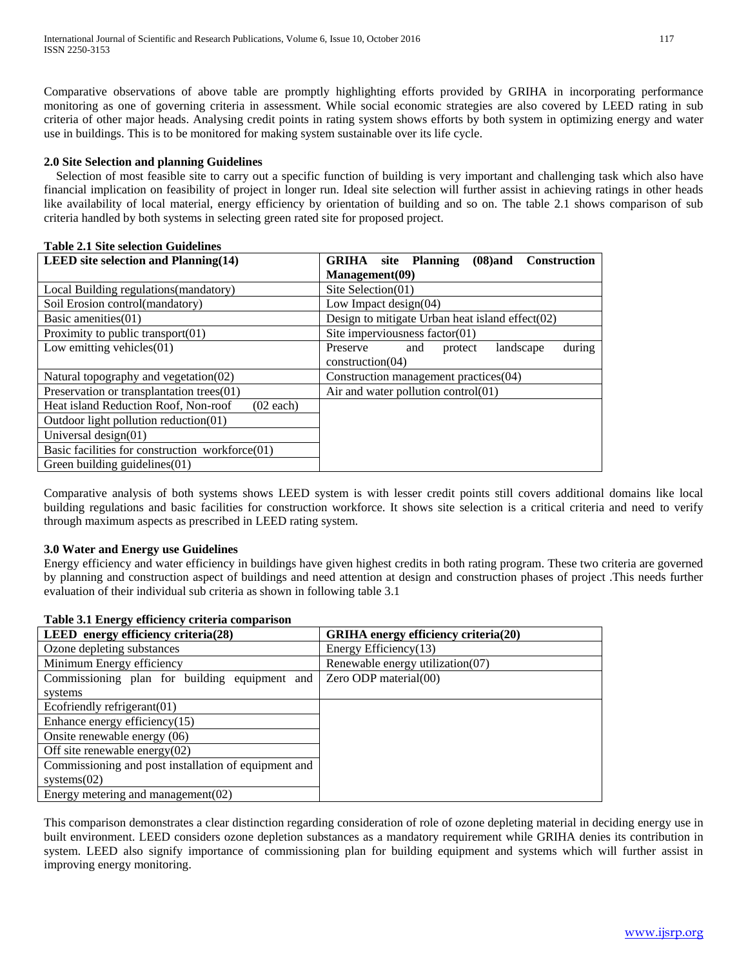Comparative observations of above table are promptly highlighting efforts provided by GRIHA in incorporating performance monitoring as one of governing criteria in assessment. While social economic strategies are also covered by LEED rating in sub criteria of other major heads. Analysing credit points in rating system shows efforts by both system in optimizing energy and water use in buildings. This is to be monitored for making system sustainable over its life cycle.

## **2.0 Site Selection and planning Guidelines**

Selection of most feasible site to carry out a specific function of building is very important and challenging task which also have financial implication on feasibility of project in longer run. Ideal site selection will further assist in achieving ratings in other heads like availability of local material, energy efficiency by orientation of building and so on. The table 2.1 shows comparison of sub criteria handled by both systems in selecting green rated site for proposed project.

#### **Table 2.1 Site selection Guidelines**

| LEED site selection and Planning $(14)$             | <b>GRIHA</b> site Planning<br>$(08)$ and<br><b>Construction</b> |  |
|-----------------------------------------------------|-----------------------------------------------------------------|--|
|                                                     | Management(09)                                                  |  |
| Local Building regulations (mandatory)              | Site Selection $(01)$                                           |  |
| Soil Erosion control(mandatory)                     | Low Impact design $(04)$                                        |  |
| Basic amenities $(01)$                              | Design to mitigate Urban heat island effect $(02)$              |  |
| Proximity to public transport $(01)$                | Site imperviousness factor $(01)$                               |  |
| Low emitting vehicles $(01)$                        | during<br>Preserve<br>landscape<br>and<br>protect               |  |
|                                                     | construction(04)                                                |  |
| Natural topography and vegetation (02)              | Construction management practices (04)                          |  |
| Preservation or transplantation trees(01)           | Air and water pollution control(01)                             |  |
| Heat island Reduction Roof, Non-roof<br>$(02$ each) |                                                                 |  |
| Outdoor light pollution reduction(01)               |                                                                 |  |
| Universal design $(01)$                             |                                                                 |  |
| Basic facilities for construction workforce(01)     |                                                                 |  |
| Green building guidelines(01)                       |                                                                 |  |

Comparative analysis of both systems shows LEED system is with lesser credit points still covers additional domains like local building regulations and basic facilities for construction workforce. It shows site selection is a critical criteria and need to verify through maximum aspects as prescribed in LEED rating system.

## **3.0 Water and Energy use Guidelines**

Energy efficiency and water efficiency in buildings have given highest credits in both rating program. These two criteria are governed by planning and construction aspect of buildings and need attention at design and construction phases of project .This needs further evaluation of their individual sub criteria as shown in following table 3.1

| Table 3.1 Energy emelency erneria comparison         |                                             |
|------------------------------------------------------|---------------------------------------------|
| LEED energy efficiency criteria $(28)$               | <b>GRIHA</b> energy efficiency criteria(20) |
| Ozone depleting substances                           | Energy Efficiency $(13)$                    |
| Minimum Energy efficiency                            | Renewable energy utilization (07)           |
| Commissioning plan for building equipment and        | Zero ODP material $(00)$                    |
| systems                                              |                                             |
| Ecofriendly refrigerant(01)                          |                                             |
| Enhance energy efficiency $(15)$                     |                                             |
| Onsite renewable energy (06)                         |                                             |
| Off site renewable energy $(02)$                     |                                             |
| Commissioning and post installation of equipment and |                                             |
| systems $(02)$                                       |                                             |
| Energy metering and management $(02)$                |                                             |

## **Table 3.1 Energy efficiency criteria comparison**

This comparison demonstrates a clear distinction regarding consideration of role of ozone depleting material in deciding energy use in built environment. LEED considers ozone depletion substances as a mandatory requirement while GRIHA denies its contribution in system. LEED also signify importance of commissioning plan for building equipment and systems which will further assist in improving energy monitoring.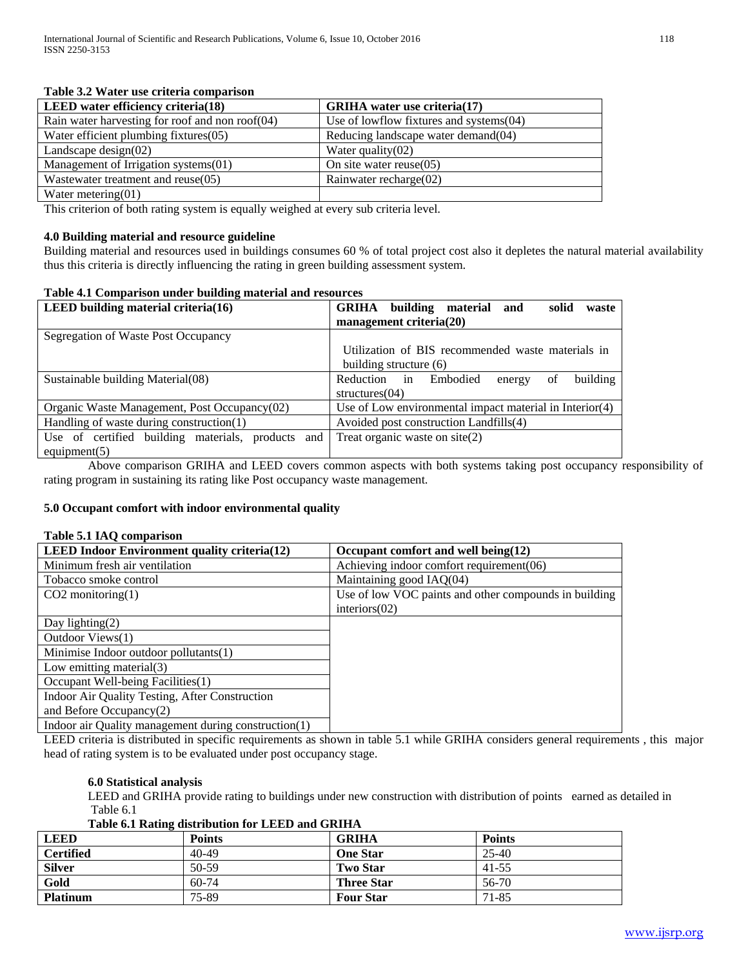| Table 9.2 waith ast criteria comparison         |                                            |
|-------------------------------------------------|--------------------------------------------|
| <b>LEED</b> water efficiency criteria(18)       | <b>GRIHA</b> water use criteria(17)        |
| Rain water harvesting for roof and non roof(04) | Use of lowflow fixtures and systems $(04)$ |
| Water efficient plumbing fixtures $(05)$        | Reducing landscape water demand (04)       |
| Landscape design $(02)$                         | Water quality $(02)$                       |
| Management of Irrigation systems(01)            | On site water reuse $(05)$                 |
| Wastewater treatment and reuse(05)              | Rainwater recharge $(02)$                  |
| Water metering $(01)$                           |                                            |

## **Table 3.2 Water use criteria comparison**

This criterion of both rating system is equally weighed at every sub criteria level.

#### **4.0 Building material and resource guideline**

Building material and resources used in buildings consumes 60 % of total project cost also it depletes the natural material availability thus this criteria is directly influencing the rating in green building assessment system.

#### **Table 4.1 Comparison under building material and resources**

| LEED building material criteria $(16)$            | building material<br>GRIHA<br>solid<br>and<br>waste        |  |
|---------------------------------------------------|------------------------------------------------------------|--|
|                                                   | management criteria(20)                                    |  |
| Segregation of Waste Post Occupancy               |                                                            |  |
|                                                   | Utilization of BIS recommended waste materials in          |  |
|                                                   | building structure (6)                                     |  |
| Sustainable building Material (08)                | building<br>in<br>Embodied<br>of<br>Reduction<br>energy    |  |
|                                                   | structures $(04)$                                          |  |
| Organic Waste Management, Post Occupancy(02)      | Use of Low environmental impact material in Interior $(4)$ |  |
| Handling of waste during construction(1)          | Avoided post construction Landfills(4)                     |  |
| Use of certified building materials, products and | Treat organic waste on $site(2)$                           |  |
| equipment(5)                                      |                                                            |  |

Above comparison GRIHA and LEED covers common aspects with both systems taking post occupancy responsibility of rating program in sustaining its rating like Post occupancy waste management.

#### **5.0 Occupant comfort with indoor environmental quality**

#### **Table 5.1 IAQ comparison**

| <b>LEED Indoor Environment quality criteria(12)</b>  | Occupant comfort and well being $(12)$                |
|------------------------------------------------------|-------------------------------------------------------|
| Minimum fresh air ventilation                        | Achieving indoor comfort requirement(06)              |
| Tobacco smoke control                                | Maintaining good IAQ(04)                              |
| $CO2$ monitoring $(1)$                               | Use of low VOC paints and other compounds in building |
|                                                      | interiors(02)                                         |
| Day lighting $(2)$                                   |                                                       |
| Outdoor Views(1)                                     |                                                       |
| Minimise Indoor outdoor pollutants(1)                |                                                       |
| Low emitting material $(3)$                          |                                                       |
| Occupant Well-being Facilities(1)                    |                                                       |
| Indoor Air Quality Testing, After Construction       |                                                       |
| and Before Occupancy $(2)$                           |                                                       |
| Indoor air Quality management during construction(1) |                                                       |

LEED criteria is distributed in specific requirements as shown in table 5.1 while GRIHA considers general requirements , this major head of rating system is to be evaluated under post occupancy stage.

#### **6.0 Statistical analysis**

LEED and GRIHA provide rating to buildings under new construction with distribution of points earned as detailed in Table 6.1

#### **Table 6.1 Rating distribution for LEED and GRIHA**

| <b>LEED</b>      | <b>Points</b> | GRIHA             | <b>Points</b> |
|------------------|---------------|-------------------|---------------|
| <b>Certified</b> | 40-49         | One Star          | $25 - 40$     |
| <b>Silver</b>    | 50-59         | <b>Two Star</b>   | 41-55         |
| Gold             | $60-74$       | <b>Three Star</b> | 56-70         |
| <b>Platinum</b>  | 75-89         | <b>Four Star</b>  | 71-85         |